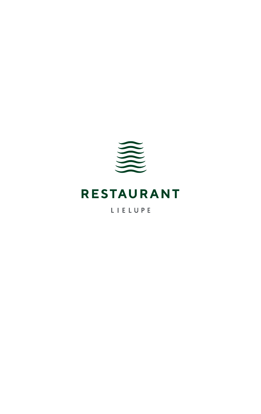

# **RESTAURANT**

LIELUPE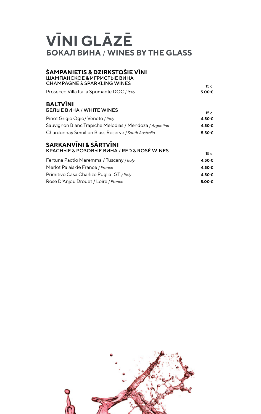# **VĪNI GLĀZĒ БОКАЛ ВИНА** / **WINES BY THE GLASS**

### **ŠAMPANIETIS & DZIRKSTOŠIE VĪNI** ШАМПАНСКОЕ & ИГРИСТЫЕ ВИНА CHAMPAGNE & SPARKLING WINES 15 cl

| Prosecco Villa Italia Spumante DOC / Italy                                      | .<br>5.00€ |
|---------------------------------------------------------------------------------|------------|
| <b>BALTVINI</b><br><b>БЕЛЫЕ ВИНА / WHITE WINES</b>                              | 15c        |
| Pinot Grigio Ogio/Veneto / Italy                                                | 4.50€      |
| Sauvignon Blanc Trapiche Melodias / Mendoza / Argentina                         | 4.50€      |
| Chardonnay Semillon Blass Reserve / South Australia                             | 5.50€      |
| <b>SARKANVĪNI &amp; SĀRTVĪNI</b><br>KPACHbIE & PO3OBbIE BUHA / RED & ROSÉ WINES | $15$ cl    |
|                                                                                 |            |

| Fertuna Pactio Maremma / Tuscany / Italy   | 4.50€           |
|--------------------------------------------|-----------------|
| Merlot Palais de France / France           | 4.50€           |
| Primitivo Casa Charlize Puglia IGT / Italy | 4.50€           |
| Rose D'Anjou Drouet / Loire / France       | 5.00 $\epsilon$ |

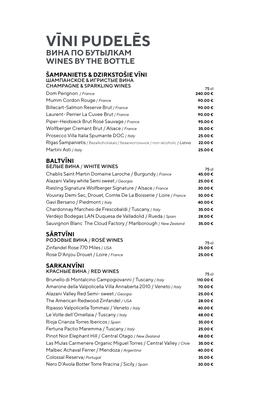## **VĪNI PUDELĒS ВИНА ПО БУТЫЛКАМ WINES BY THE BOTTLE**

### **ŠAMPANIETIS & DZIRKSTOŠIE VĪNI** ШАМПАНСКОЕ & ИГРИСТЫЕ ВИНА

| <b>CHAMPAGNE &amp; SPARKLING WINES</b>                                         | 75 cl   |
|--------------------------------------------------------------------------------|---------|
| Dom Perignon / France                                                          | 240.00€ |
| Mumm Cordon Rouge / France                                                     | 90.00€  |
| Billecart-Salmon Reserve Brut / France                                         | 90.00€  |
| Laurent-Perrier La Cuvee Brut / France                                         | 90.00€  |
| Piper-Heidsieck Brut Rosé Sauvage / France                                     | 95.00€  |
| Wolfberger Cremant Brut / Alsace / France                                      | 35.00€  |
| Prosecco Villa Italia Spumante DOC / Italy                                     | 25.00€  |
| Rīgas Šampanietis / Bezalkoholiskais / безалкогольное / non-alcoholic / Latvia | 22.00€  |
| Martini Asti / Italy                                                           | 25.00€  |

### **BALTVĪNI** БЕЛЫЕ ВИНА / WHITE WINES **FRAME SERVICE SERVICE SERVICE**

|                                                                  | 79 G I |
|------------------------------------------------------------------|--------|
| Chablis Saint Martin Domaine Laroche / Burgundy / France         | 45.00€ |
| Alazani Valley white Semi sweet / Georgia                        | 25.00€ |
| Riesling Signature Wolfberger Signature / Alsace / France        | 30.00€ |
| Vouvray Demi Sec, Drouet, Comte De La Boisserie / Loire / France | 30.00€ |
| Gavi Bersano / Piedmont / Italy                                  | 40.00€ |
| Chardonnay Marchesi de Frescobaldi / Tuscany / Italy             | 35.00€ |
| Verdejo Bodegas LAN Duquesa de Valladolid / Rueda / Spain        | 28.00€ |
| Sauvignon Blanc The Cloud Factory / Marlborough / New Zealand    | 35.00€ |
|                                                                  |        |

### **SĀRTVĪNI**

| <b>PO3OBBIE BUHA / ROSE WINES</b>    |        |
|--------------------------------------|--------|
|                                      | 75 cl  |
| Zinfandel Rose 770 Miles / USA       | 25.00€ |
| Rose D'Anjou Drouet / Loire / France | 25.00€ |

#### **SARKANVĪNI** KPACHHE BUHA / RED WINES

| 75 cl   |
|---------|
| 110.00€ |
| 70.00€  |
| 25.00€  |
| 28.00€  |
| 40.00€  |
| 48.00€  |
| 35.00€  |
| 25.00€  |
| 48.00€  |
| 35.00€  |
| 40.00€  |
| 35.00€  |
| 30.00€  |
|         |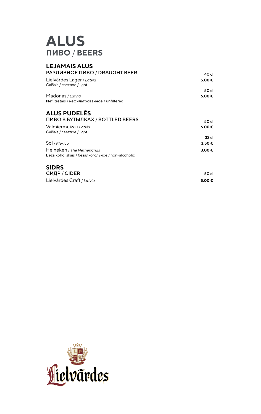## **ALUS ПИВО** / **BEERS**

#### **LEJAMAIS ALUS РАЗЛИВНОЕ ПИВО / DRAUGHT BEER** 40 cl Lielvārdes Lager / *Latvia* **5.00 €** Gaišais / светлое / light 50 cl Madonas / *Latvia* **6.00 €** Nefiltrētais / нефильтрованное / unfiltered

### **ALUS PUDELĒS** ПИВО В БУТЫЛКАХ / BOTTLED BEERS 50 cl

| TIMBO D BJ TBDINAA / BOT TEED BEENS                                             | 50 cl      |
|---------------------------------------------------------------------------------|------------|
| Valmiermuiža / Latvia<br>Gaišais / светлое / light                              | 6.00€      |
|                                                                                 | 33 cl      |
| Sol / Mexico                                                                    | $3.50 \in$ |
| Heineken / The Netherlands<br>Bezalkoholiskais / безалкогольное / non-alcoholic | $3.00 \in$ |

#### **SIDRS** СИДР / CIDER 50 cl Lielvārdes Craft / *Latvia* **5.00 €**

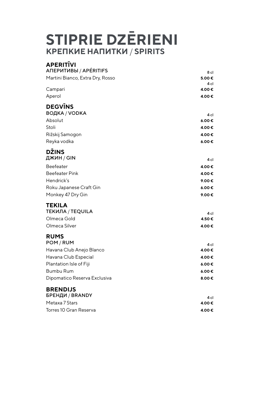# **STIPRIE DZĒRIENI КРЕПКИЕ НАПИТКИ** / **SPIRITS**

| <b>APERITIVI</b><br><b>ANEPUTUBBI / APÉRITIFS</b> | 8 cl       |
|---------------------------------------------------|------------|
| Martini Bianco, Extra Dry, Rosso                  | 5.00€      |
|                                                   | 4 cl       |
| Campari                                           | 4.00€      |
| Aperol                                            | 4.00€      |
| <b>DEGVINS</b><br>ВОДКА / VODKA                   | 4 cl       |
| Absolut                                           | 6.00€      |
| Stoli                                             | 4.00€      |
| Rižskij Samogon                                   | 4.00€      |
| Reyka vodka                                       | $6.00 \in$ |
|                                                   |            |
| <b>DŽINS</b><br>ДЖИН / GIN                        |            |
|                                                   | 4 cl       |
| <b>Beefeater</b>                                  | 4.00€      |
| <b>Beefeater Pink</b>                             | 4.00€      |
| Hendrick's                                        | 9.00€      |
| Roku Japanese Craft Gin                           | 6.00E      |
| Monkey 47 Dry Gin                                 | 9.00€      |
| <b>TEKILA</b>                                     |            |
| <b>ТЕКИЛА / TEQUILA</b>                           | 4 cl       |
| Olmeca Gold                                       | 4.50€      |
| Olmeca Silver                                     | 4.00€      |
| <b>RUMS</b>                                       |            |
| POM / RUM                                         | 4 cl       |
| Havana Club Anejo Blanco                          | 4.00€      |
| Havana Club Especial                              | 4.00€      |
| Plantation Isle of Fiji                           | 6.00E      |
| <b>Bumbu Rum</b>                                  | 6.00€      |
| Dipomatico Reserva Exclusiva                      | 8.00€      |
|                                                   |            |
| <b>BRENDIJS</b><br>БРЕНДИ / BRANDY                |            |
| Metaxa 7 Stars                                    | 4 cl       |
|                                                   | 4.00€      |
| Torres 10 Gran Reserva                            | 4.00€      |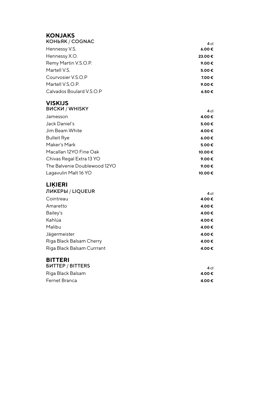### **KONJAKS**

| <b>КОНЬЯК / COGNAC</b>   | 4 cl       |
|--------------------------|------------|
| Hennessy V.S.            | $6.00 \in$ |
| Hennessy X.O.            | 23.00€     |
| Remy Martin V.S.O.P.     | 9.00€      |
| Martell V.S.             | 5.00€      |
| Courvosier V.S.O.P       | 7.00€      |
| Martell V.S.O.P.         | 9.00€      |
| Calvados Boulard V.S.O.P | 6.50€      |

### **VISKIJS**

| 4 <sub>cl</sub> |
|-----------------|
| 4.00€           |
| 5.00€           |
| 4.00€           |
| 6.00€           |
| 5.00€           |
| 10.00€          |
| 9.00€           |
| 9.00€           |
| 10.00€          |
|                 |

### **LIĶIERI**

| ЛИКЕРЫ / LIQUEUR           | 4 <sub>cl</sub> |
|----------------------------|-----------------|
| Cointreau                  | 4.00€           |
| Amaretto                   | 4.00€           |
| Bailey's                   | 4.00€           |
| Kahlúa                     | 4.00€           |
| Malibu                     | 4.00€           |
| Jägermeister               | 4.00€           |
| Riga Black Balsam Cherry   | 4.00€           |
| Riga Black Balsam Currrant | 4.00€           |
|                            |                 |

### **BITTERI**

| <b><i>BUTTEP / BITTERS</i></b> | 4 cl  |
|--------------------------------|-------|
| Riga Black Balsam              | 4.00€ |
| Fernet Branca                  | 4.00€ |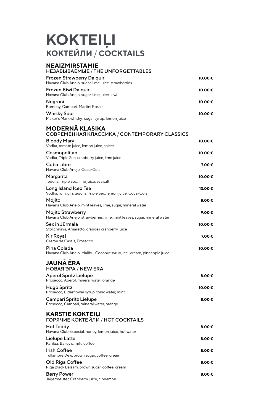# **KOKTEIĻI КОКТЕЙЛИ** / **COCKTAILS**

| NEAIZMIRSTAMIE<br><b>HE3A5bIBAEMbIE / THE UNFORGETTABLES</b>                                  |        |
|-----------------------------------------------------------------------------------------------|--------|
| Frozen Strawberry Daiquiri<br>Havana Club Anejo, sugar, lime juice, strawberries              | 10.00€ |
| Frozen Kiwi Daiquiri<br>Havana Club Anejo, sugar, lime juice, kiwi                            | 10.00€ |
| Negroni<br>Bombay, Campari, Martini Rosso                                                     | 10.00€ |
| Whisky Sour<br>Maker's Mark whisky, sugar syrup, lemon juice                                  | 10.00€ |
| <b>MODERNA KLASIKA</b><br><b>СОВРЕМЕННАЯ КЛАССИКА / CONTEMPORARY CLASSICS</b>                 |        |
| <b>Bloody Mary</b><br>Vodka, tomato juice, lemon juice, spices                                | 10.00€ |
| Cosmopolitan<br>Vodka, Triple Sec, cranberry juice, lime juice                                | 10.00€ |
| Cuba Libre<br>Havana Club Anejo, Coca-Cola                                                    | 7.00€  |
| Margarita<br>Tequila, Triple Sec, lime juice, sea salt                                        | 10.00€ |
| Long Island Iced Tea<br>Vodka, rum, gin, tequila, Triple Sec, lemon juice, Coca-Cola          | 13.00€ |
| Mojito<br>Havana Club Anejo, mint leaves, lime, sugar, mineral water                          | 8.00€  |
| Mojito Strawberry<br>Havana Club Anejo, strawberries, lime, mint leaves, sugar, mineral water | 9.00€  |
| Sex in Jūrmala<br>Stolichnaya, Amaretto, orange/ cranberry juice                              | 10.00€ |
| Kir Royal<br>Creme de Cassis, Prosecco                                                        | 7.00 € |
| Pina Colada<br>Havana Club Anejo, Malibu, Coconut syrup, ice- cream, pineapple juice          | 10.00€ |
| <b>JAUNA ERA</b><br><b>НОВАЯ ЭРА / NEW ERA</b>                                                |        |
| <b>Aperol Spritz Lielupe</b><br>Prosecco, Aperol, mineral water, orange                       | 8.00€  |
| Hugo Spritz<br>Prosecco, Elderflower syrup, tonic water, mint                                 | 10.00€ |
| Campari Spritz Lielupe<br>Prosecco, Campari, mineral water, orange                            | 8.00€  |
| <b>KARSTIE KOKTEILI</b><br>ГОРЯЧИЕ КОКТЕЙЛИ́ / HOT COCKTAILS                                  |        |
| Hot Toddy<br>Havana Club Especial, honey, lemon juice, hot water                              | 8.00€  |
| Lielupe Latte<br>Kahlúa, Bailey's, milk, coffee                                               | 8.00€  |
| Irish Coffee<br>Tullamore Dew, brown sugar, coffee, cream                                     | 8.00 € |
| Old Riga Coffee<br>Riga Black Balsam, brown sugar, coffee, cream                              | 8.00 € |
| <b>Berry Power</b><br>Jagermeister, Cranberry juice, cinnamon                                 | 8.00€  |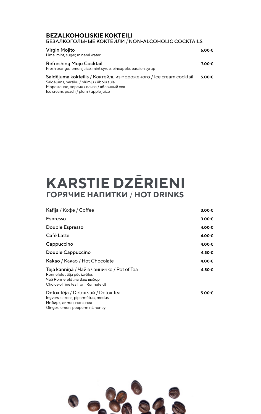#### **BEZALKOHOLISKIE KOKTEILI** БЕЗАЛКОГОЛЬНЫЕ КОКТЕЙЛИ / NON-ALCOHOLIC COCKTAILS

| Virgin Mojito<br>Lime, mint, sugar, mineral water                                                                                                                                                  | 6.00€      |
|----------------------------------------------------------------------------------------------------------------------------------------------------------------------------------------------------|------------|
| Refreshing Mojo Cocktail<br>Fresh orange, lemon juice, mint syrup, pineapple, passion syrup                                                                                                        | 7.00€      |
| Saldējuma kokteilis / Коктейль из мороженого / Ice cream cocktail<br>Saldējums, persiku / plūmju / ābolu sula<br>Мороженое, персик / слива / яблочный сок<br>Ice cream, peach / plum / apple juice | $5.00 \in$ |

# **KARSTIE DZĒRIENI ГОРЯЧИЕ НАПИТКИ** / **HOT DRINKS**

| Kafija / Кофе / Coffee                                                                                                                         | 3.00€           |
|------------------------------------------------------------------------------------------------------------------------------------------------|-----------------|
| <b>Espresso</b>                                                                                                                                | 3.00€           |
| Double Espresso                                                                                                                                | 4.00€           |
| Café Latte                                                                                                                                     | 4.00€           |
| Cappuccino                                                                                                                                     | 4.00€           |
| Double Cappuccino                                                                                                                              | 4.50€           |
| Kakao / Какао / Hot Chocolate                                                                                                                  | 4.00€           |
| Tēja kanniņā / Чай в чайничке / Pot of Tea<br>Ronnefeldt tēja pēc izvēles<br>Чай Ronnefeldt на Ваш выбор<br>Choice of fine tea from Ronnefeldt | 4.50€           |
| Detox tēja / Detox чай / Detox Tea<br>Ingvers, citrons, piparmētras, medus<br>Имбирь, лимон, мята, мед<br>Ginger, lemon, peppermint, honey     | 5.00 $\epsilon$ |